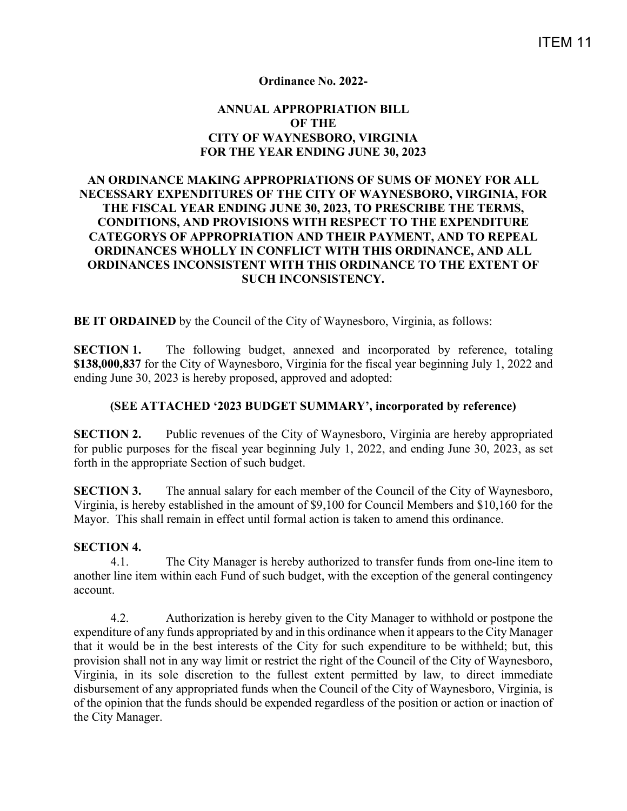### **Ordinance No. 2022-**

## **ANNUAL APPROPRIATION BILL OF THE CITY OF WAYNESBORO, VIRGINIA FOR THE YEAR ENDING JUNE 30, 2023**

## **AN ORDINANCE MAKING APPROPRIATIONS OF SUMS OF MONEY FOR ALL NECESSARY EXPENDITURES OF THE CITY OF WAYNESBORO, VIRGINIA, FOR THE FISCAL YEAR ENDING JUNE 30, 2023, TO PRESCRIBE THE TERMS, CONDITIONS, AND PROVISIONS WITH RESPECT TO THE EXPENDITURE CATEGORYS OF APPROPRIATION AND THEIR PAYMENT, AND TO REPEAL ORDINANCES WHOLLY IN CONFLICT WITH THIS ORDINANCE, AND ALL ORDINANCES INCONSISTENT WITH THIS ORDINANCE TO THE EXTENT OF SUCH INCONSISTENCY.**

**BE IT ORDAINED** by the Council of the City of Waynesboro, Virginia, as follows:

**SECTION 1.** The following budget, annexed and incorporated by reference, totaling **\$138,000,837** for the City of Waynesboro, Virginia for the fiscal year beginning July 1, 2022 and ending June 30, 2023 is hereby proposed, approved and adopted:

#### **(SEE ATTACHED '2023 BUDGET SUMMARY', incorporated by reference)**

**SECTION 2.** Public revenues of the City of Waynesboro, Virginia are hereby appropriated for public purposes for the fiscal year beginning July 1, 2022, and ending June 30, 2023, as set forth in the appropriate Section of such budget.

**SECTION 3.** The annual salary for each member of the Council of the City of Waynesboro, Virginia, is hereby established in the amount of \$9,100 for Council Members and \$10,160 for the Mayor. This shall remain in effect until formal action is taken to amend this ordinance.

#### **SECTION 4.**

4.1. The City Manager is hereby authorized to transfer funds from one-line item to another line item within each Fund of such budget, with the exception of the general contingency account.

4.2. Authorization is hereby given to the City Manager to withhold or postpone the expenditure of any funds appropriated by and in this ordinance when it appears to the City Manager that it would be in the best interests of the City for such expenditure to be withheld; but, this provision shall not in any way limit or restrict the right of the Council of the City of Waynesboro, Virginia, in its sole discretion to the fullest extent permitted by law, to direct immediate disbursement of any appropriated funds when the Council of the City of Waynesboro, Virginia, is of the opinion that the funds should be expended regardless of the position or action or inaction of the City Manager.